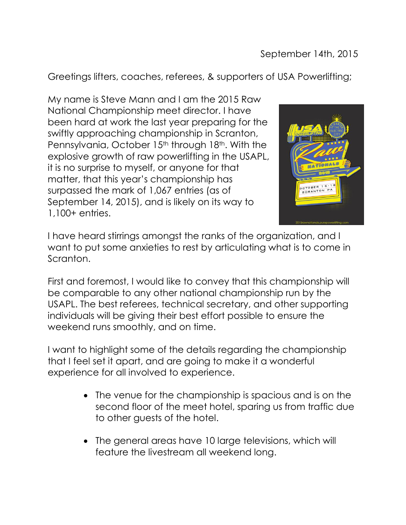Greetings lifters, coaches, referees, & supporters of USA Powerlifting;

My name is Steve Mann and I am the 2015 Raw National Championship meet director. I have been hard at work the last year preparing for the swiftly approaching championship in Scranton, Pennsylvania, October 15<sup>th</sup> through 18<sup>th</sup>. With the explosive growth of raw powerlifting in the USAPL, it is no surprise to myself, or anyone for that matter, that this year's championship has surpassed the mark of 1,067 entries (as of September 14, 2015), and is likely on its way to 1,100+ entries.



I have heard stirrings amongst the ranks of the organization, and I want to put some anxieties to rest by articulating what is to come in Scranton.

First and foremost, I would like to convey that this championship will be comparable to any other national championship run by the USAPL. The best referees, technical secretary, and other supporting individuals will be giving their best effort possible to ensure the weekend runs smoothly, and on time.

I want to highlight some of the details regarding the championship that I feel set it apart, and are going to make it a wonderful experience for all involved to experience.

- The venue for the championship is spacious and is on the second floor of the meet hotel, sparing us from traffic due to other guests of the hotel.
- The general areas have 10 large televisions, which will feature the livestream all weekend long.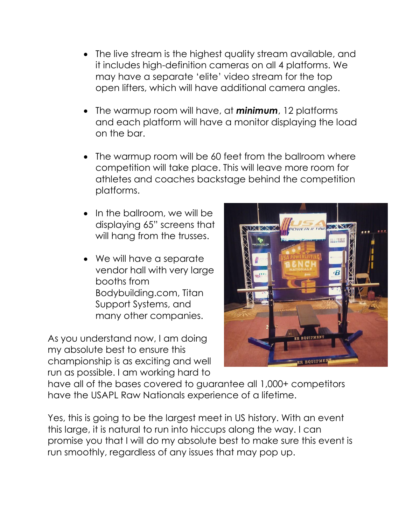- The live stream is the highest quality stream available, and it includes high-definition cameras on all 4 platforms. We may have a separate 'elite' video stream for the top open lifters, which will have additional camera angles.
- The warmup room will have, at *minimum*, 12 platforms and each platform will have a monitor displaying the load on the bar.
- The warmup room will be 60 feet from the ballroom where competition will take place. This will leave more room for athletes and coaches backstage behind the competition platforms.
- In the ballroom, we will be displaying 65" screens that will hang from the trusses.
- We will have a separate vendor hall with very large booths from Bodybuilding.com, Titan Support Systems, and many other companies.

As you understand now, I am doing my absolute best to ensure this championship is as exciting and well run as possible. I am working hard to



have all of the bases covered to guarantee all 1,000+ competitors have the USAPL Raw Nationals experience of a lifetime.

Yes, this is going to be the largest meet in US history. With an event this large, it is natural to run into hiccups along the way. I can promise you that I will do my absolute best to make sure this event is run smoothly, regardless of any issues that may pop up.